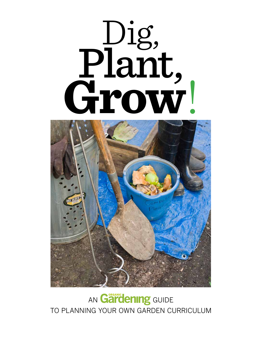# Dig, Plant, **Grow**!



### AN **Gardening** GUIDE to Planning Your Own Garden Curriculum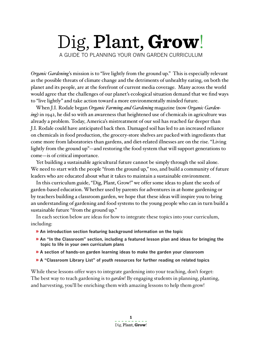### Dig, Plant, **Grow**! A Guide to Planning Your Own Garden Curriculum

*Organic Gardening*'s mission is to "live lightly from the ground up." This is especially relevant as the possible threats of climate change and the detriments of unhealthy eating, on both the planet and its people, are at the forefront of current media coverage. Many across the world would agree that the challenges of our planet's ecological situation demand that we find ways to "live lightly" and take action toward a more environmentally minded future.

When J.I. Rodale began *Organic Farming and Gardening* magazine (now *Organic Gardening*) in 1942, he did so with an awareness that heightened use of chemicals in agriculture was already a problem. Today, America's mistreatment of our soil has reached far deeper than J.I. Rodale could have anticipated back then. Damaged soil has led to an increased reliance on chemicals in food production, the grocery-store shelves are packed with ingredients that come more from laboratories than gardens, and diet-related illnesses are on the rise. "Living lightly from the ground up"—and restoring the food system that will support generations to come—is of critical importance.

Yet building a sustainable agricultural future cannot be simply through the soil alone. We need to start with the people "from the ground up," too, and build a community of future leaders who are educated about what it takes to maintain a sustainable environment.

In this curriculum guide, "Dig, Plant, Grow!" we offer some ideas to plant the seeds of garden-based education. Whether used by parents for adventures in at-home gardening or by teachers building a classroom garden, we hope that these ideas will inspire you to bring an understanding of gardening and food systems to the young people who can in turn build a sustainable future "from the ground up."

In each section below are ideas for how to integrate these topics into your curriculum, including:

- » **An introduction section featuring background information on the topic**
- » **An "In the Classroom" section, including a featured lesson plan and ideas for bringing the topic to life in your own curriculum plans**
- » **A section of hands-on garden learning ideas to make the garden your classroom**
- » **A "Classroom Library List" of youth resources for further reading on related topics**

While these lessons offer ways to integrate gardening into your teaching, don't forget: The best way to teach gardening is to *garden*! By engaging students in planning, planting, and harvesting, you'll be enriching them with amazing lessons to help them grow!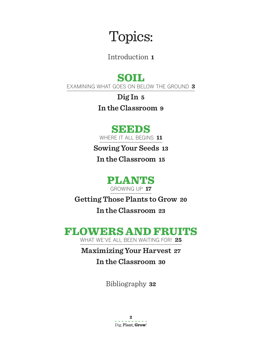# Topics:

Introduction **1**

### SOIL

Examining what goes on below the ground **3**

**Dig In 5 In the Classroom 9**

### **SEEDS**

Where it all begins **11**

**Sowing Your Seeds 13**

**In the Classroom 15**

PLANTS Growing up **17**

**Getting Those Plants to Grow 20**

**In the Classroom 23**

### FLOWERS AND FRUITS

WHAT WE'VE ALL BEEN WAITING FOR! 25

### **Maximizing Your Harvest 27 In the Classroom 30**

Bibliography **32**

**2** Dig, Plant, **Grow**!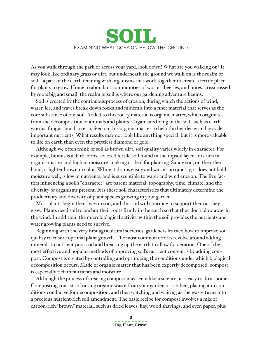### SOIL Examining what goes on below the ground

As you walk through the park or across your yard, look down! What are you walking on? It may look like ordinary grass or dirt, but underneath the ground we walk on is the realm of soil—a part of the earth teeming with organisms that work together to create a fertile place for plants to grow. Home to abundant communities of worms, beetles, and mites, crisscrossed by roots big and small, the realm of soil is where our gardening adventure begins.

Soil is created by the continuous process of erosion, during which the actions of wind, water, ice, and waves break down rocks and minerals into a finer material that serves as the core substance of our soil. Added to this rocky material is organic matter, which originates from the decomposition of animals and plants. Organisms living in the soil, such as earthworms, fungus, and bacteria, feed on this organic matter to help further decay and recycle important nutrients. What results may not look like anything special, but it is more valuable to life on earth than even the prettiest diamond or gold.

Although we often think of soil as brown dirt, soil quality varies widely in character. For example, humus is a dark coffee-colored fertile soil found in the topsoil layer. It is rich in organic matter and high in moisture, making it ideal for planting. Sandy soil, on the other hand, is lighter brown in color. While it drains easily and warms up quickly, it does not hold moisture well, is low in nutrients, and is susceptible to water and wind erosion. The five factors influencing a soil's "character" are parent material, topography, time, climate, and the diversity of organisms present. It is these soil characteristics that ultimately determine the productivity and diversity of plant species growing in your garden.

Most plants begin their lives in soil, and this soil will continue to support them as they grow. Plants need soil to anchor their roots firmly in the earth so that they don't blow away in the wind. In addition, the microbiological activity within the soil provides the nutrients and water growing plants need to survive.

Beginning with the very first agricultural societies, gardeners learned how to improve soil quality to ensure optimal plant growth. The most common efforts revolve around adding minerals to nutrient-poor soil and breaking up the earth to allow for aeration. One of the most effective and popular methods of improving soil's nutrient content is by adding compost. Compost is created by controlling and optimizing the conditions under which biological decomposition occurs. Made of organic matter that has been expertly decomposed, compost is especially rich in nutrients and moisture.

Although the process of creating compost may seem like a science, it is easy to do at home! Composting consists of taking organic waste from your garden or kitchen, placing it in conditions conducive for decomposition, and then watching and waiting as the waste turns into a precious nutrient-rich soil amendment. The basic recipe for compost involves a mix of carbon-rich "brown" material, such as dried leaves, hay, wood shavings, and even paper, plus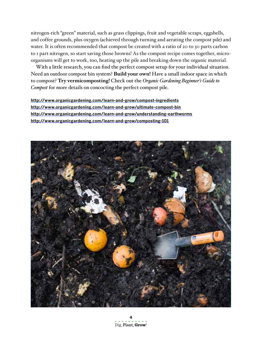nitrogen-rich "green" material, such as grass clippings, fruit and vegetable scraps, eggshells, and coffee grounds, plus oxygen (achieved through turning and aerating the compost pile) and water. It is often recommended that compost be created with a ratio of 20 to 30 parts carbon to 1 part nitrogen, so start saving those browns! As the compost recipe comes together, microorganisms will get to work, too, heating up the pile and breaking down the organic material.

With a little research, you can find the perfect compost setup for your individual situation. Need an outdoor compost bin system? **Build your own!** Have a small indoor space in which to compost? **Try vermicomposting!** Check out the *Organic Gardening Beginner's Guide to Compost* for more details on concocting the perfect compost pile.

**http://www.organicgardening.com/learn-and-grow/compost-ingredients http://www.organicgardening.com/learn-and-grow/ultimate-compost-bin http://www.organicgardening.com/learn-and-grow/understanding-earthworms http://www.organicgardening.com/learn-and-grow/composting-101**

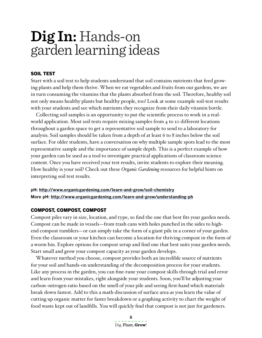### **Dig In:** Hands-on garden learning ideas

#### Soil Test

Start with a soil test to help students understand that soil contains nutrients that feed growing plants and help them thrive. When we eat vegetables and fruits from our gardens, we are in turn consuming the vitamins that the plants absorbed from the soil. Therefore, healthy soil not only means healthy plants but healthy people, too! Look at some example soil-test results with your students and see which nutrients they recognize from their daily vitamin bottle.

Collecting soil samples is an opportunity to put the scientific process to work in a realworld application. Most soil tests require mixing samples from 4 to 10 different locations throughout a garden space to get a representative soil sample to send to a laboratory for analysis. Soil samples should be taken from a depth of at least 6 to 8 inches below the soil surface. For older students, have a conversation on why multiple sample spots lead to the most representative sample and the importance of sample depth. This is a perfect example of how your garden can be used as a tool to investigate practical applications of classroom science content. Once you have received your test results, invite students to explore their meaning. How healthy is your soil? Check out these *Organic Gardening* resources for helpful hints on interpreting soil test results.

**pH: http://www.organicgardening.com/learn-and-grow/soil-chemistry More pH: http://www.organicgardening.com/learn-and-grow/understanding-ph**

#### Compost, compost, compost

Compost piles vary in size, location, and type, so find the one that best fits your garden needs. Compost can be made in vessels—from trash cans with holes punched in the sides to highend compost tumblers—or can simply take the form of a giant pile in a corner of your garden. Even the classroom or your kitchen can become a location for thriving compost in the form of a worm bin. Explore options for compost setup and find one that best suits your garden needs. Start small and grow your compost capacity as your garden develops.

Whatever method you choose, compost provides both an incredible source of nutrients for your soil and hands-on understanding of the decomposition process for your students. Like any process in the garden, you can fine-tune your compost skills through trial and error and learn from your mistakes, right alongside your students. Soon, you'll be adjusting your carbon–nitrogen ratio based on the smell of your pile and seeing first-hand which materials break down fastest. Add to this a math discussion of surface area as you learn the value of cutting up organic matter for faster breakdown or a graphing activity to chart the weight of food waste kept out of landfills. You will quickly find that compost is not just for gardeners.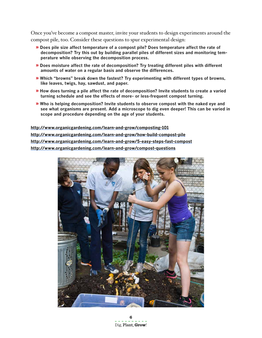Once you've become a compost master, invite your students to design experiments around the compost pile, too. Consider these questions to spur experimental design:

- » **Does pile size affect temperature of a compost pile? Does temperature affect the rate of decomposition? Try this out by building parallel piles of different sizes and monitoring temperature while observing the decomposition process.**
- » **Does moisture affect the rate of decomposition? Try treating different piles with different amounts of water on a regular basis and observe the differences.**
- » **Which "browns" break down the fastest? Try experimenting with different types of browns, like leaves, twigs, hay, sawdust, and paper.**
- » **How does turning a pile affect the rate of decomposition? Invite students to create a varied turning schedule and see the effects of more- or less-frequent compost turning.**
- » **Who is helping decomposition? Invite students to observe compost with the naked eye and see what organisms are present. Add a microscope to dig even deeper! This can be varied in scope and procedure depending on the age of your students.**

**http://www.organicgardening.com/learn-and-grow/composting-101 http://www.organicgardening.com/learn-and-grow/how-build-compost-pile http://www.organicgardening.com/learn-and-grow/5-easy-steps-fast-compost http://www.organicgardening.com/learn-and-grow/compost-questions**

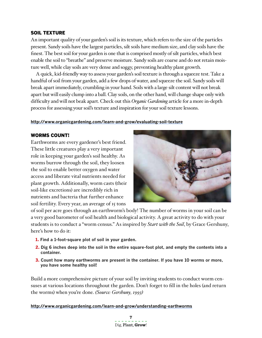#### SOIL TEXTURE

An important quality of your garden's soil is its texture, which refers to the size of the particles present. Sandy soils have the largest particles, silt soils have medium size, and clay soils have the finest. The best soil for your garden is one that is comprised mostly of silt particles, which best enable the soil to "breathe" and preserve moisture. Sandy soils are coarse and do not retain moisture well, while clay soils are very dense and soggy, preventing healthy plant growth.

A quick, kid-friendly way to assess your garden's soil texture is through a squeeze test. Take a handful of soil from your garden, add a few drops of water, and squeeze the soil. Sandy soils will break apart immediately, crumbling in your hand. Soils with a large silt content will not break apart but will easily clump into a ball. Clay soils, on the other hand, will change shape only with difficulty and will not beak apart. Check out this *Organic Gardening* article for a more in-depth process for assessing your soil's texture and inspiration for your soil texture lessons.

#### **http://www.organicgardening.com/learn-and-grow/evaluating-soil-texture**

#### Worms count!

Earthworms are every gardener's best friend. These little creatures play a very important role in keeping your garden's soil healthy. As worms burrow through the soil, they loosen the soil to enable better oxygen and water access and liberate vital nutrients needed for plant growth. Additionally, worm casts (their soil-like excretions) are incredibly rich in nutrients and bacteria that further enhance soil fertility. Every year, an average of 15 tons



of soil per acre goes through an earthworm's body! The number of worms in your soil can be a very good barometer of soil health and biological activity. A great activity to do with your students is to conduct a "worm census." As inspired by *Start with the Soil*, by Grace Gershuny, here's how to do it:

- 1. **Find a 1-foot-square plot of soil in your garden.**
- 2. **Dig 6 inches deep into the soil in the entire square-foot plot, and empty the contents into a container.**
- 3. **Count how many earthworms are present in the container. If you have 10 worms or more, you have some healthy soil!**

Build a more comprehensive picture of your soil by inviting students to conduct worm censuses at various locations throughout the garden. Don't forget to fill in the holes (and return the worms) when you're done. *(Source: Gershuny, 1993)*

**http://www.organicgardening.com/learn-and-grow/understanding-earthworms**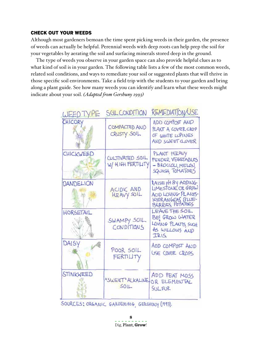#### Check out your Weeds

Although most gardeners bemoan the time spent picking weeds in their garden, the presence of weeds can actually be helpful. Perennial weeds with deep roots can help prep the soil for your vegetables by aerating the soil and surfacing minerals stored deep in the ground.

The type of weeds you observe in your garden space can also provide helpful clues as to what kind of soil is in your garden. The following table lists a few of the most common weeds, related soil conditions, and ways to remediate your soil or suggested plants that will thrive in those specific soil environments. Take a field trip with the students to your garden and bring along a plant guide. See how many weeds you can identify and learn what these weeds might indicate about your soil. *(Adapted from Gershuny 1993)*

| WEED TYPE        | SOLCONDITION                         | REMEDIATION/USE                                                                                         |
|------------------|--------------------------------------|---------------------------------------------------------------------------------------------------------|
| CHICORY          | COMPACTED AND<br>CRUSTY SOIL         | ADD COMPOST AND<br>PLANT A COVER CROP<br>OF WHITE LUPINES<br>AND SWEET CLOVER                           |
| CHICKWEED        | CULTIVATED SOIL<br>W/ HIGH FERTILITY | PLANT HEAVY<br>FEEDER VEGETABLES<br>- BROCCOLI, MELON,<br>SQUASH, TOMATOES                              |
| <b>DANDELION</b> | ACIDIC AND<br>HEAVY SOIL             | RAISE PH BY ADDING<br>LIMESTONE OR GROW<br>ACID LOVING PLANTS-<br>HYORANGEAS BLUE-<br>BERRIES, POTATOES |
| HORSETAIL        | SWAMPY SOIL<br>CONDITIONS            | LEAVE THE SOIL<br>BE! GROW WATER<br>LOVING PLANTS SUCH<br>AS WILLOWS AND<br>IRIS                        |
| DAISY            | POOR SOIL<br>FERTILITY               | ADD COMPOST AND<br>USE COVER CROPS                                                                      |
| STINKWEED        | "SWEET" ALKALINE<br>SOL              | ADD PEAT MOSS<br>OR ELEMENTAL<br>SULFUR                                                                 |

SOURCES; ORGANIC GARDENING, GERSHUNY (1993).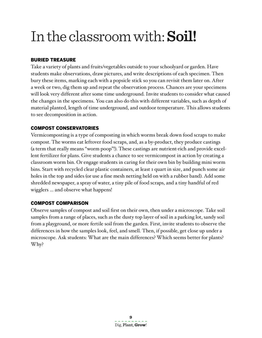# In the classroom with:**Soil!**

#### Buried Treasure

Take a variety of plants and fruits/vegetables outside to your schoolyard or garden. Have students make observations, draw pictures, and write descriptions of each specimen. Then bury these items, marking each with a popsicle stick so you can revisit them later on. After a week or two, dig them up and repeat the observation process. Chances are your specimens will look very different after some time underground. Invite students to consider what caused the changes in the specimens. You can also do this with different variables, such as depth of material planted, length of time underground, and outdoor temperature. This allows students to see decomposition in action.

#### Compost conservatories

Vermicomposting is a type of composting in which worms break down food scraps to make compost. The worms eat leftover food scraps, and, as a by-product, they produce castings (a term that really means "worm poop"!). These castings are nutrient-rich and provide excellent fertilizer for plans. Give students a chance to see vermicompost in action by creating a classroom worm bin. Or engage students in caring for their own bin by building mini worm bins. Start with recycled clear plastic containers, at least 1 quart in size, and punch some air holes in the top and sides (or use a fine mesh netting held on with a rubber band). Add some shredded newspaper, a spray of water, a tiny pile of food scraps, and a tiny handful of red wigglers … and observe what happens!

#### Compost comparison

Observe samples of compost and soil first on their own, then under a microscope. Take soil samples from a range of places, such as the dusty top layer of soil in a parking lot, sandy soil from a playground, or more fertile soil from the garden. First, invite students to observe the differences in how the samples look, feel, and smell. Then, if possible, get close up under a microscope. Ask students: What are the main differences? Which seems better for plants? Why?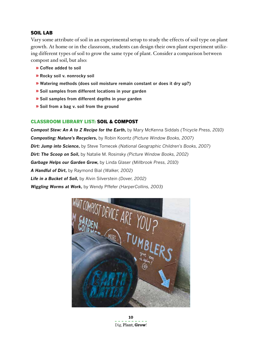#### SOIL LAB

Vary some attribute of soil in an experimental setup to study the effects of soil type on plant growth. At home or in the classroom, students can design their own plant experiment utilizing different types of soil to grow the same type of plant. Consider a comparison between compost and soil, but also:

- » **Coffee added to soil**
- » **Rocky soil v. nonrocky soil**
- » **Watering methods (does soil moisture remain constant or does it dry up?)**
- » **Soil samples from different locations in your garden**
- » **Soil samples from different depths in your garden**
- » **Soil from a bag v. soil from the ground**

#### Classroom Library List: SOIL & COMPOST

*Compost Stew: An A to Z Recipe for the Earth***,** by Mary McKenna Siddals *(Tricycle Press, 2010) Composting: Nature's Recyclers***,** by Robin Koontz *(Picture Window Books, 2007) Dirt: Jump into Science***,** by Steve Tomecek *(National Geographic Children's Books, 2007) Dirt: The Scoop on Soil***,** by Natalie M. Rosinsky *(Picture Window Books, 2002) Garbage Helps our Garden Grow***,** by Linda Glaser *(Millbrook Press, 2010) A Handful of Dirt***,** by Raymond Bial *(Walker, 2002) Life in a Bucket of Soil***,** by Alvin Silverstein *(Dover, 2002) Wiggling Worms at Work***,** by Wendy Pffefer *(HarperCollins, 2003)*

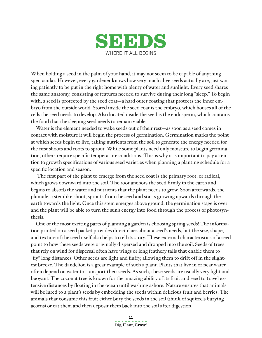

When holding a seed in the palm of your hand, it may not seem to be capable of anything spectacular. However, every gardener knows how very much alive seeds actually are, just waiting patiently to be put in the right home with plenty of water and sunlight. Every seed shares the same anatomy, consisting of features needed to survive during their long "sleep." To begin with, a seed is protected by the seed coat—a hard outer coating that protects the inner embryo from the outside world. Stored inside the seed coat is the embryo, which houses all of the cells the seed needs to develop. Also located inside the seed is the endosperm, which contains the food that the sleeping seed needs to remain viable.

Water is the element needed to wake seeds out of their rest—as soon as a seed comes in contact with moisture it will begin the process of germination. Germination marks the point at which seeds begin to live, taking nutrients from the soil to generate the energy needed for the first shoots and roots to sprout. While some plants need only moisture to begin germination, others require specific temperature conditions. This is why it is important to pay attention to growth specifications of various seed varieties when planning a planting schedule for a specific location and season.

 The first part of the plant to emerge from the seed coat is the primary root, or radical, which grows downward into the soil. The root anchors the seed firmly in the earth and begins to absorb the water and nutrients that the plant needs to grow. Soon afterwards, the plumule, a stemlike shoot, sprouts from the seed and starts growing upwards through the earth towards the light. Once this stem emerges above ground, the germination stage is over and the plant will be able to turn the sun's energy into food through the process of photosynthesis.

One of the most exciting parts of planning a garden is choosing spring seeds! The information printed on a seed packet provides direct clues about a seed's needs, but the size, shape, and texture of the seed itself also helps to tell its story. These external characteristics of a seed point to how these seeds were originally dispersed and dropped into the soil. Seeds of trees that rely on wind for dispersal often have wings or long feathery tails that enable them to "fly" long distances. Other seeds are light and fluffy, allowing them to drift off in the slightest breeze. The dandelion is a great example of such a plant. Plants that live in or near water often depend on water to transport their seeds. As such, these seeds are usually very light and buoyant. The coconut tree is known for the amazing ability of its fruit and seed to travel extensive distances by floating in the ocean until washing ashore. Nature ensures that animals will be lured to a plant's seeds by embedding the seeds within delicious fruit and berries. The animals that consume this fruit either bury the seeds in the soil (think of squirrels burying acorns) or eat them and then deposit them back into the soil after digestion.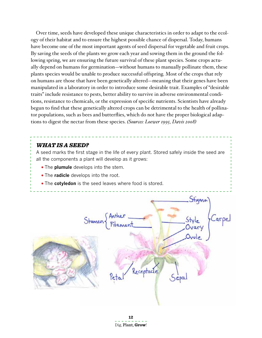Over time, seeds have developed these unique characteristics in order to adapt to the ecology of their habitat and to ensure the highest possible chance of dispersal. Today, humans have become one of the most important agents of seed dispersal for vegetable and fruit crops. By saving the seeds of the plants we grow each year and sowing them in the ground the following spring, we are ensuring the future survival of these plant species. Some crops actually depend on humans for germination—without humans to manually pollinate them, these plants species would be unable to produce successful offspring. Most of the crops that rely on humans are those that have been genetically altered—meaning that their genes have been manipulated in a laboratory in order to introduce some desirable trait. Examples of "desirable traits" include resistance to pests, better ability to survive in adverse environmental conditions, resistance to chemicals, or the expression of specific nutrients. Scientists have already begun to find that these genetically altered crops can be detrimental to the health of pollinator populations, such as bees and butterflies, which do not have the proper biological adaptions to digest the nectar from these species. *(Sources: Loewer 1995, Davis 2008)*

#### *WHAT IS A SEED?*

A seed marks the first stage in the life of every plant. Stored safely inside the seed are all the components a plant will develop as it grows:

- The **plumule** develops into the stem.
- The **radicle** develops into the root.
- The **cotyledon** is the seed leaves where food is stored.

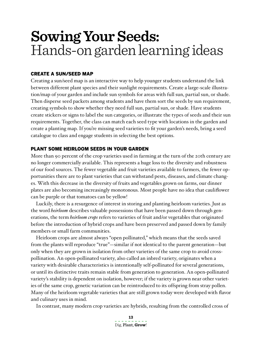## **Sowing Your Seeds:** Hands-on garden learning ideas

#### Create a Sun/Seed Map

Creating a sun/seed map is an interactive way to help younger students understand the link between different plant species and their sunlight requirements. Create a large-scale illustration/map of your garden and include sun symbols for areas with full sun, partial sun, or shade. Then disperse seed packets among students and have them sort the seeds by sun requirement, creating symbols to show whether they need full sun, partial sun, or shade. Have students create stickers or signs to label the sun categories, or illustrate the types of seeds and their sun requirements. Together, the class can match each seed type with locations in the garden and create a planting map. If you're missing seed varieties to fit your garden's needs, bring a seed catalogue to class and engage students in selecting the best options.

#### PLANT SOME HEIRLOOM SEEDS IN YOUR GARDEN

More than 90 percent of the crop varieties used in farming at the turn of the 20th century are no longer commercially available. This represents a huge loss to the diversity and robustness of our food sources. The fewer vegetable and fruit varieties available to farmers, the fewer opportunities there are to plant varieties that can withstand pests, diseases, and climate changes. With this decrease in the diversity of fruits and vegetables grown on farms, our dinner plates are also becoming increasingly monotonous. Most people have no idea that cauliflower can be purple or that tomatoes can be yellow!

Luckily, there is a resurgence of interest in storing and planting heirloom varieties. Just as the word *heirloom* describes valuable possessions that have been passed down through generations, the term *heirloom crops* refers to varieties of fruit and/or vegetables that originated before the introduction of hybrid crops and have been preserved and passed down by family members or small farm communities.

Heirloom crops are almost always "open pollinated," which means that the seeds saved from the plants will reproduce "true"—similar if not identical to the parent generation—but only when they are grown in isolation from other varieties of the same crop to avoid crosspollination. An open-pollinated variety, also called an inbred variety, originates when a variety with desirable characteristics is intentionally self-pollinated for several generations, or until its distinctive traits remain stable from generation to generation. An open-pollinated variety's stability is dependent on isolation, however; if the variety is grown near other varieties of the same crop, genetic variation can be reintroduced to its offspring from stray pollen. Many of the heirloom vegetable varieties that are still grown today were developed with flavor and culinary uses in mind.

In contrast, many modern crop varieties are hybrids, resulting from the controlled cross of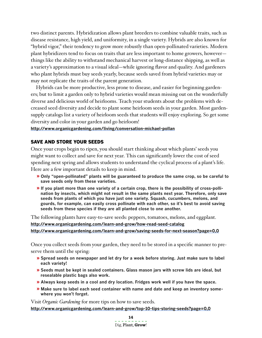two distinct parents. Hybridization allows plant breeders to combine valuable traits, such as disease resistance, high yield, and uniformity, in a single variety. Hybrids are also known for "hybrid vigor," their tendency to grow more robustly than open-pollinated varieties. Modern plant hybridizers tend to focus on traits that are less important to home growers, however things like the ability to withstand mechanical harvest or long-distance shipping, as well as a variety's approximation to a visual ideal—while ignoring flavor and quality. And gardeners who plant hybrids must buy seeds yearly, because seeds saved from hybrid varieties may or may not replicate the traits of the parent generation.

Hybrids can be more productive, less prone to disease, and easier for beginning gardeners; but to limit a garden only to hybrid varieties would mean missing out on the wonderfully diverse and delicious world of heirlooms. Teach your students about the problems with decreased seed diversity and decide to plant some heirloom seeds in your garden. Most gardensupply catalogs list a variety of heirloom seeds that students will enjoy exploring. So get some diversity and color in your garden and go heirloom!

#### **http://www.organicgardening.com/living/conversation-michael-pollan**

#### Save and Store your Seeds

Once your crops begin to ripen, you should start thinking about which plants' seeds you might want to collect and save for next year. This can significantly lower the cost of seed spending next spring and allows students to understand the cyclical process of a plant's life. Here are a few important details to keep in mind.

- » **Only "open-pollinated" plants will be guaranteed to produce the same crop, so be careful to save seeds only from these varieties.**
- » **If you plant more than one variety of a certain crop, there is the possibility of cross-pollination by insects, which might not result in the same plants next year. Therefore, only save seeds from plants of which you have just one variety. Squash, cucumbers, melons, and gourds, for example, can easily cross pollinate with each other, so it's best to avoid saving seeds from these species if they are all planted close to one another.**

The following plants have easy-to-save seeds: peppers, tomatoes, melons, and eggplant. **http://www.organicgardening.com/learn-and-grow/how-read-seed-catalog http://www.organicgardening.com/learn-and-grow/saving-seeds-for-next-season?page=0,0**

Once you collect seeds from your garden, they need to be stored in a specific manner to preserve them until the spring:

- » **Spread seeds on newspaper and let dry for a week before storing. Just make sure to label each variety!**
- » **Seeds must be kept in sealed containers. Glass mason jars with screw lids are ideal, but resealable plastic bags also work.**
- » **Always keep seeds in a cool and dry location. Fridges work well if you have the space.**
- » **Make sure to label each seed container with name and date and keep an inventory somewhere you won't forget.**

Visit *Organic Gardening* for more tips on how to save seeds.

**http://www.organicgardening.com/learn-and-grow/top-10-tips-storing-seeds?page=0,0**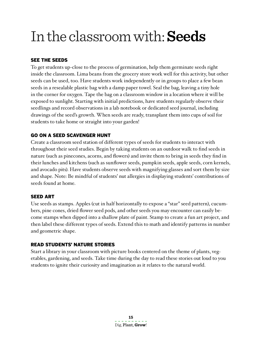# In the classroom with:**Seeds**

#### See the Seeds

To get students up-close to the process of germination, help them germinate seeds right inside the classroom. Lima beans from the grocery store work well for this activity, but other seeds can be used, too. Have students work independently or in groups to place a few bean seeds in a resealable plastic bag with a damp paper towel. Seal the bag, leaving a tiny hole in the corner for oxygen. Tape the bag on a classroom window in a location where it will be exposed to sunlight. Starting with initial predictions, have students regularly observe their seedlings and record observations in a lab notebook or dedicated seed journal, including drawings of the seed's growth. When seeds are ready, transplant them into cups of soil for students to take home or straight into your garden!

#### Go on a seed scavenger hunt

Create a classroom seed station of different types of seeds for students to interact with throughout their seed studies. Begin by taking students on an outdoor walk to find seeds in nature (such as pinecones, acorns, and flowers) and invite them to bring in seeds they find in their lunches and kitchens (such as sunflower seeds, pumpkin seeds, apple seeds, corn kernels, and avocado pits). Have students observe seeds with magnifying glasses and sort them by size and shape. Note: Be mindful of students' nut allergies in displaying students' contributions of seeds found at home.

#### **SEED ART**

Use seeds as stamps. Apples (cut in half horizontally to expose a "star" seed pattern), cucumbers, pine cones, dried flower seed pods, and other seeds you may encounter can easily become stamps when dipped into a shallow plate of paint. Stamp to create a fun art project, and then label these different types of seeds. Extend this to math and identify patterns in number and geometric shape.

#### Read Students' Nature Stories

Start a library in your classroom with picture books centered on the theme of plants, vegetables, gardening, and seeds. Take time during the day to read these stories out loud to you students to ignite their curiosity and imagination as it relates to the natural world.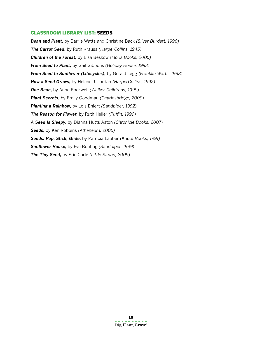#### Classroom Library List: SEEDS

*Bean and Plant***,** by Barrie Watts and Christine Back *(Silver Burdett, 1990) The Carrot Seed***,** by Ruth Krauss *(HarperCollins, 1945) Children of the Forest***,** by Elsa Beskow *(Floris Books, 2005) From Seed to Plant***,** by Gail Gibbons *(Holiday House, 1993) From Seed to Sunflower (Lifecycles)***,** by Gerald Legg *(Franklin Watts, 1998) How a Seed Grows***,** by Helene J. Jordan *(HarperCollins, 1992) One Bean***,** by Anne Rockwell *(Walker Childrens, 1999) Plant Secrets***,** by Emily Goodman *(Charlesbridge, 2009) Planting a Rainbow***,** by Lois Ehlert *(Sandpiper, 1992) The Reason for Flower***,** by Ruth Heller *(Puffin, 1999) A Seed Is Sleepy***,** by Dianna Hutts Aston *(Chronicle Books, 2007) Seeds***,** by Ken Robbins *(Atheneum, 2005) Seeds: Pop, Stick, Glide***,** by Patricia Lauber *(Knopf Books, 1991) Sunflower House***,** by Eve Bunting *(Sandpiper, 1999) The Tiny Seed***,** by Eric Carle *(Little Simon, 2009)*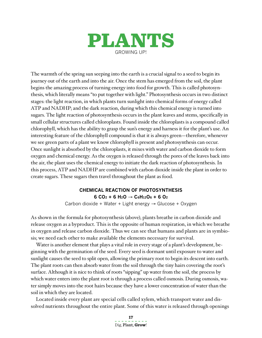

The warmth of the spring sun seeping into the earth is a crucial signal to a seed to begin its journey out of the earth and into the air. Once the stem has emerged from the soil, the plant begins the amazing process of turning energy into food for growth. This is called photosynthesis, which literally means "to put together with light." Photosynthesis occurs in two distinct stages: the light reaction, in which plants turn sunlight into chemical forms of energy called ATP and NADHP; and the dark reaction, during which this chemical energy is turned into sugars. The light reaction of photosynthesis occurs in the plant leaves and stems, specifically in small cellular structures called chloroplasts. Found inside the chloroplasts is a compound called chlorophyll, which has the ability to grasp the sun's energy and harness it for the plant's use. An interesting feature of the chlorophyll compound is that it is always green—therefore, whenever we see green parts of a plant we know chlorophyll is present and photosynthesis can occur. Once sunlight is absorbed by the chloroplasts, it mixes with water and carbon dioxide to form oxygen and chemical energy. As the oxygen is released through the pores of the leaves back into the air, the plant uses the chemical energy to initiate the dark reaction of photosynthesis. In this process, ATP and NADHP are combined with carbon dioxide inside the plant in order to create sugars. These sugars then travel throughout the plant as food.

#### **CHEMICAL REACTION OF PHOTOSYNTHESIS 6 CO2 + 6 H2O** → **C6H12O6 + 6 O2**

Carbon dioxide + Water + Light energy → Glucose + Oxygen

As shown in the formula for photosynthesis (above), plants breathe in carbon dioxide and release oxygen as a byproduct. This is the opposite of human respiration, in which we breathe in oxygen and release carbon dioxide. Thus we can see that humans and plants are in symbiosis; we need each other to make available the elements necessary for survival.

Water is another element that plays a vital role in every stage of a plant's development, beginning with the germination of the seed. Every seed is dormant until exposure to water and sunlight causes the seed to split open, allowing the primary root to begin its descent into earth. The plant roots can then absorb water from the soil through the tiny hairs covering the root's surface. Although it is nice to think of roots "sipping" up water from the soil, the process by which water enters into the plant root is through a process called osmosis. During osmosis, water simply moves into the root hairs because they have a lower concentration of water than the soil in which they are located.

Located inside every plant are special cells called xylem, which transport water and dissolved nutrients throughout the entire plant. Some of this water is released through openings

> **17** Dig, Plant, **Grow**!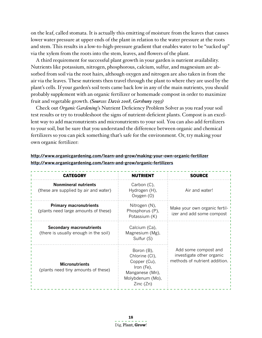on the leaf, called stomata. It is actually this emitting of moisture from the leaves that causes lower water pressure at upper ends of the plant in relation to the water pressure at the roots and stem. This results in a low-to-high-pressure gradient that enables water to be "sucked up" via the xylem from the roots into the stem, leaves, and flowers of the plant.

A third requirement for successful plant growth in your garden is nutrient availability. Nutrients like potassium, nitrogen, phosphorous, calcium, sulfur, and magnesium are absorbed from soil via the root hairs, although oxygen and nitrogen are also taken in from the air via the leaves. These nutrients then travel through the plant to where they are used by the plant's cells. If your garden's soil tests came back low in any of the main nutrients, you should probably supplement with an organic fertilizer or homemade compost in order to maximize fruit and vegetable growth. *(Sources: Davis 2008, Gershuny 1993)*

Check out *Organic Gardening*'s Nutrient Deficiency Problem Solver as you read your soil test results or try to troubleshoot the signs of nutrient-deficient plants. Compost is an excellent way to add macronutrients and micronutrients to your soil. You can also add fertilizers to your soil, but be sure that you understand the difference between organic and chemical fertilizers so you can pick something that's safe for the environment. Or, try making your own organic fertilizer:

| <b>CATEGORY</b>                                                          | <b>NUTRIENT</b>                                                                                               | <b>SOURCE</b>                                                                      |  |
|--------------------------------------------------------------------------|---------------------------------------------------------------------------------------------------------------|------------------------------------------------------------------------------------|--|
| <b>Nonmineral nutrients</b><br>(these are supplied by air and water)     | Carbon (C),<br>Hydrogen (H),<br>Oxygen (O)                                                                    | Air and water!                                                                     |  |
| <b>Primary macronutrients</b><br>(plants need large amounts of these)    | Nitrogen (N),<br>Phosphorus (P),<br>Potassium (K)                                                             | Make your own organic fertil-<br>izer and add some compost                         |  |
| <b>Secondary macronutrients</b><br>(there is usually enough in the soil) | Calcium (Ca),<br>Magnesium (Mg),<br>Sulfur (S)                                                                |                                                                                    |  |
| <b>Micronutrients</b><br>(plants need tiny amounts of these)             | Boron (B),<br>Chlorine (CI),<br>Copper (Cu),<br>Iron (Fe),<br>Manganese (Mn),<br>Molybdenum (Mo),<br>Zinc(Zn) | Add some compost and<br>investigate other organic<br>methods of nutrient addition. |  |

#### **http://www.organicgardening.com/learn-and-grow/making-your-own-organic-fertilizer http://www.organicgardening.com/learn-and-grow/organic-fertilizers**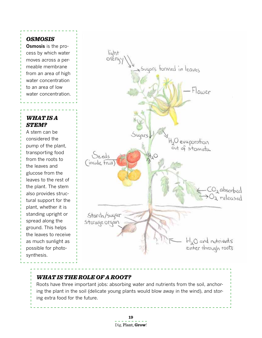#### *osmosis*

**Osmosis** is the process by which water moves across a permeable membrane from an area of high water concentration to an area of low water concentration.

#### *What is a stem?*

A stem can be considered the pump of the plant, transporting food from the roots to the leaves and glucose from the leaves to the rest of the plant. The stem also provides structural support for the plant, whether it is standing upright or spread along the ground. This helps the leaves to receive as much sunlight as possible for photosynthesis.



#### *What is the role of a root?*

Roots have three important jobs: absorbing water and nutrients from the soil, anchoring the plant in the soil (delicate young plants would blow away in the wind), and storing extra food for the future.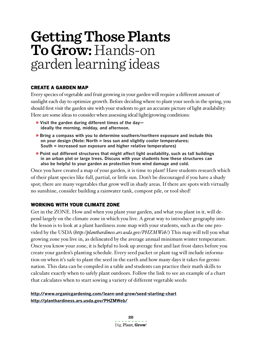## **Getting Those Plants To Grow:**Hands-on garden learning ideas

#### Create a garden map

Every species of vegetable and fruit growing in your garden will require a different amount of sunlight each day to optimize growth. Before deciding where to plant your seeds in the spring, you should first visit the garden site with your students to get an accurate picture of light availability. Here are some ideas to consider when assessing ideal light/growing conditions:

- » **Visit the garden during different times of the day ideally the morning, midday, and afternoon.**
- » **Bring a compass with you to determine southern/northern exposure and include this on your design (Note: North = less sun and slightly cooler temperatures; South = increased sun exposure and higher relative temperatures)**
- » **Point out different structures that might affect light availability, such as tall buildings in an urban plot or large trees. Discuss with your students how these structures can also be helpful to your garden as protection from wind damage and cold.**

Once you have created a map of your garden, it is time to plant! Have students research which of their plant species like full, partial, or little sun. Don't be discouraged if you have a shady spot; there are many vegetables that grow well in shady areas. If there are spots with virtually no sunshine, consider building a rainwater tank, compost pile, or tool shed!

#### Working with your climate zone

Get in the ZONE. How and when you plant your garden, and what you plant in it, will depend largely on the climate zone in which you live. A great way to introduce geography into the lesson is to look at a plant hardiness zone map with your students, such as the one provided by the USDA (*http://planthardiness.ars.usda.gov/PHZMWeb/.*) This map will tell you what growing zone you live in, as delineated by the average annual minimum winter temperature. Once you know your zone, it is helpful to look up average first and last frost dates before you create your garden's planting schedule. Every seed packet or plant tag will include information on when it's safe to plant the seed in the earth and how many days it takes for germination. This data can be compiled in a table and students can practice their math skills to calculate exactly when to safely plant outdoors. Follow the link to see an example of a chart that calculates when to start sowing a variety of different vegetable seeds:

**http://www.organicgardening.com/learn-and-grow/seed-starting-chart http://planthardiness.ars.usda.gov/PHZMWeb/**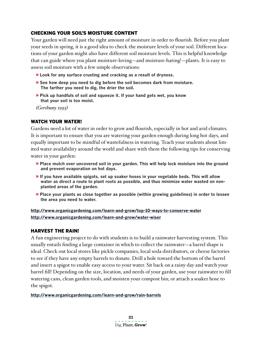#### Checking your soil's moisture content

Your garden will need just the right amount of moisture in order to flourish. Before you plant your seeds in spring, it is a good idea to check the moisture levels of your soil. Different locations of your garden might also have different soil moisture levels. This is helpful knowledge that can guide where you plant moisture-loving—and moisture-hating!—plants. It is easy to assess soil moisture with a few simple observations:

- » **Look for any surface crusting and cracking as a result of dryness.**
- » **See how deep you need to dig before the soil becomes dark from moisture. The farther you need to dig, the drier the soil.**
- » **Pick up handfuls of soil and squeeze it. If your hand gets wet, you know that your soil is too moist.**

*(Gershuny 1993)* 

#### WATCH YOUR WATER!

Gardens need a lot of water in order to grow and flourish, especially in hot and arid climates. It is important to ensure that you are watering your garden enough during long hot days, and equally important to be mindful of wastefulness in watering. Teach your students about limited water availability around the world and share with them the following tips for conserving water in your garden:

- » **Place mulch over uncovered soil in your garden. This will help lock moisture into the ground and prevent evaporation on hot days.**
- » **If you have available spigots, set up soaker hoses in your vegetable beds. This will allow water as direct a route to plant roots as possible, and thus minimize water wasted on nonplanted areas of the garden.**
- » **Place your plants as close together as possible (within growing guidelines) in order to lessen the area you need to water.**

**http://www.organicgardening.com/learn-and-grow/top-10-ways-to-conserve-water http://www.organicgardening.com/learn-and-grow/water-wiser**

#### Harvest the Rain!

A fun engineering project to do with students is to build a rainwater harvesting system. This usually entails finding a large container in which to collect the rainwater—a barrel shape is ideal. Check out local stores like pickle companies, local soda distributors, or cheese factories to see if they have any empty barrels to donate. Drill a hole toward the bottom of the barrel and insert a spigot to enable easy access to your water. Sit back on a rainy day and watch your barrel fill! Depending on the size, location, and needs of your garden, use your rainwater to fill watering cans, clean garden tools, and moisten your compost bin; or attach a soaker hose to the spigot.

**http://www.organicgardening.com/learn-and-grow/rain-barrels**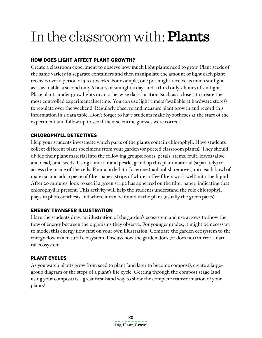# In the classroom with:**Plants**

#### How does Light affect Plant Growth?

Create a classroom experiment to observe how much light plants need to grow. Plant seeds of the same variety in separate containers and then manipulate the amount of light each plant receives over a period of 3 to 4 weeks. For example, one pot might receive as much sunlight as is available, a second only 6 hours of sunlight a day, and a third only 3 hours of sunlight. Place plants under grow lights in an otherwise dark location (such as a closet) to create the most controlled experimental setting. You can use light timers (available at hardware stores) to regulate over the weekend. Regularly observe and measure plant growth and record this information in a data table. Don't forget to have students make hypotheses at the start of the experiment and follow up to see if their scientific guesses were correct!

#### Chlorophyll Detectives

Help your students investigate which parts of the plants contain chlorophyll. Have students collect different plant specimens from your garden (or potted classroom plants). They should divide their plant material into the following groups: roots, petals, stems, fruit, leaves (alive and dead), and seeds. Using a mortar and pestle, grind up this plant material (separately) to access the inside of the cells. Pour a little bit of acetone (nail polish remover) into each bowl of material and add a piece of filter paper (strips of white coffee filters work well) into the liquid. After 20 minutes, look to see if a green stripe has appeared on the filter paper, indicating that chlorophyll is present. This activity will help the students understand the role chlorophyll plays in photosynthesis and where it can be found in the plant (usually the green parts).

#### Energy Transfer Illustration

Have the students draw an illustration of the garden's ecosystem and use arrows to show the flow of energy between the organisms they observe. For younger grades, it might be necessary to model this energy flow first on your own illustration. Compare the garden ecosystem to the energy flow in a natural ecosystem. Discuss how the garden does (or does not) mirror a natural ecosystem.

#### Plant cycles

As you watch plants grow from seed to plant (and later to become compost), create a largegroup diagram of the steps of a plant's life cycle. Getting through the compost stage (and using your compost) is a great first-hand way to show the complete transformation of your plants!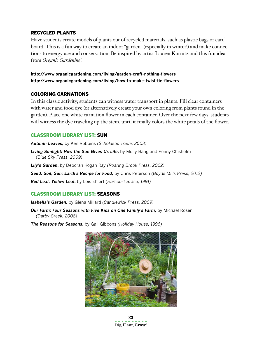#### Recycled plants

Have students create models of plants out of recycled materials, such as plastic bags or cardboard. This is a fun way to create an indoor "garden" (especially in winter!) and make connections to energy use and conservation. Be inspired by artist Lauren Karnitz and this fun idea from *Organic Gardening*!

#### **http://www.organicgardening.com/living/garden-craft-nothing-flowers http://www.organicgardening.com/living/how-to-make-twist-tie-flowers**

#### Coloring Carnations

In this classic activity, students can witness water transport in plants. Fill clear containers with water and food dye (or alternatively create your own coloring from plants found in the garden). Place one white carnation flower in each container. Over the next few days, students will witness the dye traveling up the stem, until it finally colors the white petals of the flower.

#### Classroom Library List: SUN

*Autumn Leaves***,** by Ken Robbins *(Scholastic Trade, 2003)*

*Living Sunlight: How the Sun Gives Us Life***,** by Molly Bang and Penny Chisholm *(Blue Sky Press, 2009)*

*Lily's Garden***,** by Deborah Kogan Ray *(Roaring Brook Press, 2002)*

*Seed, Soil, Sun: Earth's Recipe for Food***,** by Chris Peterson *(Boyds Mills Press, 2012)*

*Red Leaf, Yellow Leaf***,** by Lois Ehlert *(Harcourt Brace, 1991)*

#### Classroom Library List: SEASONS

*Isabella's Garden***,** by Glena Millard *(Candlewick Press, 2009)*

*Our Farm: Four Seasons with Five Kids on One Family's Farm***,** by Michael Rosen *(Darby Creek, 2008)*

*The Reasons for Seasons***,** by Gail Gibbons *(Holiday House, 1996)*



**23** Dig, Plant, **Grow**!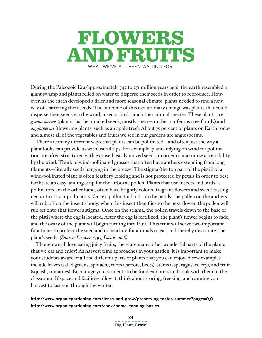

During the Paleozoic Era (approximately 542 to 251 million years ago), the earth resembled a giant swamp and plants relied on water to disperse their seeds in order to reproduce. However, as the earth developed a drier and more seasonal climate, plants needed to find a new way of scattering their seeds. The outcome of this evolutionary change was plants that could disperse their seeds via the wind, insects, birds, and other animal species. These plants are *gymnosperms* (plants that bear naked seeds, mostly species in the coniferous tree family) and *angiosperms* (flowering plants, such as an apple tree). About 75 percent of plants on Earth today and almost all of the vegetables and fruits we see in our gardens are angiosperms.

There are many different ways that plants can be pollinated—and often just the way a plant looks can provide us with useful tips. For example, plants relying on wind for pollination are often structured with exposed, easily moved seeds, in order to maximize accessibility by the wind. Think of wind-pollinated grasses that often have anthers extending from long filaments—literally seeds hanging in the breeze! The stigma (the top part of the pistil) of a wind-pollinated plant is often feathery looking and is not protected by petals in order to best facilitate an easy landing strip for the airborne pollen. Plants that use insects and birds as pollinators, on the other hand, often have brightly colored fragrant flowers and sweet tasting nectar to attract pollinators. Once a pollinator lands on the petals, the pollen on the anthers will rub off on the insect's body; when this insect then flies to the next flower, the pollen will rub off onto that flower's stigma. Once on the stigma, the pollen travels down to the base of the pistil where the egg is located. After the egg is fertilized, the plant's flower begins to fade, and the ovary of the plant will begin turning into fruit. This fruit will serve two important functions: to protect the seed and to be a lure for animals to eat, and thereby distribute, the plant's seeds. *(Source: Loewer 1995, Davis 2008)*

Though we all love eating juicy fruits, there are many other wonderful parts of the plants that we eat and enjoy! As harvest time approaches in your garden, it is important to make your students aware of all the different parts of plants that you can enjoy. A few examples include leaves (salad greens, spinach), roots (carrots, beets), stems (asparagus, celery), and fruit (squash, tomatoes). Encourage your students to be food explorers and cook with them in the classroom. If space and facilities allow it, think about storing, freezing, and canning your harvest to last you through the winter.

**http://www.organicgardening.com/learn-and-grow/preserving-tastes-summer?page=0,0 http://www.organicgardening.com/cook/home-canning-basics**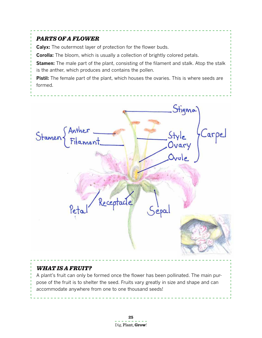#### *PARTS OF A FLOWER*

**Calyx:** The outermost layer of protection for the flower buds.

**Corolla:** The bloom, which is usually a collection of brightly colored petals.

**Stamen:** The male part of the plant, consisting of the filament and stalk. Atop the stalk is the anther, which produces and contains the pollen.

Pistil: The female part of the plant, which houses the ovaries. This is where seeds are formed.



#### *What is a Fruit?*

A plant's fruit can only be formed once the flower has been pollinated. The main purpose of the fruit is to shelter the seed. Fruits vary greatly in size and shape and can accommodate anywhere from one to one thousand seeds!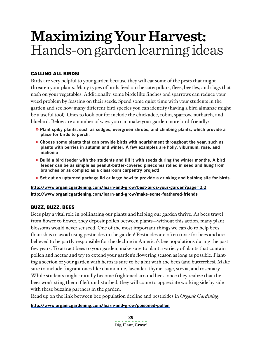# **Maximizing Your Harvest:** Hands-on garden learning ideas

#### Calling all Birds!

Birds are very helpful to your garden because they will eat some of the pests that might threaten your plants. Many types of birds feed on the caterpillars, flees, beetles, and slugs that nosh on your vegetables. Additionally, some birds like finches and sparrows can reduce your weed problem by feasting on their seeds. Spend some quiet time with your students in the garden and see how many different bird species you can identify (having a bird almanac might be a useful tool). Ones to look out for include the chickadee, robin, sparrow, nuthatch, and bluebird. Below are a number of ways you can make your garden more bird-friendly:

- » **Plant spiky plants, such as sedges, evergreen shrubs, and climbing plants, which provide a place for birds to perch.**
- » **Choose some plants that can provide birds with nourishment throughout the year, such as plants with berries in autumn and winter. A few examples are holly, viburnum, rose, and mahonia**
- » **Build a bird feeder with the students and fill it with seeds during the winter months. A bird feeder can be as simple as peanut-butter-covered pinecones rolled in seed and hung from branches or as complex as a classroom carpentry project!**
- » **Set out an upturned garbage lid or large bowl to provide a drinking and bathing site for birds.**

**http://www.organicgardening.com/learn-and-grow/best-birds-your-garden?page=0,0 http://www.organicgardening.com/learn-and-grow/make-some-feathered-friends**

#### Buzz, Buzz, Bees

Bees play a vital role in pollinating our plants and helping our garden thrive. As bees travel from flower to flower, they deposit pollen between plants—without this action, many plant blossoms would never set seed. One of the most important things we can do to help bees flourish is to avoid using pesticides in the garden! Pesticides are often toxic for bees and are believed to be partly responsible for the decline in America's bee populations during the past few years. To attract bees to your garden, make sure to plant a variety of plants that contain pollen and nectar and try to extend your garden's flowering season as long as possible. Planting a section of your garden with herbs is sure to be a hit with the bees (and butterflies). Make sure to include fragrant ones like chamomile, lavender, thyme, sage, stevia, and rosemary. While students might initially become frightened around bees, once they realize that the bees won't sting them if left undisturbed, they will come to appreciate working side by side with these buzzing partners in the garden.

Read up on the link between bee population decline and pesticides in *Organic Gardening*:

#### **http://www.organicgardening.com/learn-and-grow/poisoned-pollen**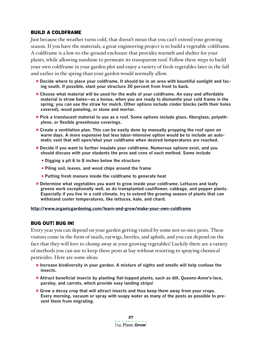#### Build a coldframe

Just because the weather turns cold, that doesn't mean that you can't extend your growing season. If you have the materials, a great engineering project is to build a vegetable coldframe. A coldframe is a low-to-the-ground enclosure that provides warmth and shelter for your plants, while allowing sunshine to permeate its transparent roof. Follow these steps to build your own coldframe in your garden plot and enjoy a variety of fresh vegetables later in the fall and earlier in the spring than your garden would normally allow.

- » **Decide where to place your coldframe. It should be in an area with bountiful sunlight and facing south. If possible, slant your structure 30 percent from front to back.**
- » **Choose what material will be used for the walls of your coldframe. An easy and affordable material is straw bales—as a bonus, when you are ready to dismantle your cold frame in the spring, you can use the straw for mulch. Other options include cinder blocks (with their holes covered), wood paneling, or stone and mortar.**
- » **Pick a translucent material to use as a roof. Some options include glass, fiberglass, polyethylene, or flexible greenhouse coverings.**
- » **Create a ventilation plan. This can be easily done by manually propping the roof open on warm days. A more expensive but less labor-intensive option would be to include an automatic vent that will open/shut your coldframe when desired temperatures are reached.**
- » **Decide if you want to further insulate your coldframe. Numerous options exist, and you should discuss with your students the pros and cons of each method. Some include**
	- **Digging a pit 6 to 8 inches below the structure**
	- **Piling soil, leaves, and wood chips around the frame**
	- **Putting fresh manure inside the coldframe to generate heat**
- » **Determine what vegetables you want to grow inside your coldframe. Lettuces and leafy greens work exceptionally well, as do transplanted cauliflower, cabbage, and pepper plants. Especially if you live in a cold climate, try to extend the growing season of plants that can withstand cooler temperatures, like lettuces, kale, and chard.**

#### **http://www.organicgardening.com/learn-and-grow/make-your-own-coldframe**

#### Bug out! Bug in!

Every year you can depend on your garden getting visited by some not-so-nice pests. These visitors come in the form of snails, earwigs, beetles, and aphids, and you can depend on the fact that they will love to chomp away at your growing vegetables! Luckily there are a variety of methods you can use to keep these pests at bay without resorting to spraying chemical pesticides. Here are some ideas:

- » **Increase biodiversity in your garden. A mixture of sights and smells will help confuse the insects.**
- » **Attract beneficial insects by planting flat-topped plants, such as dill, Queens-Anne's-lace, parsley, and carrots, which provide easy landing strips!**
- » **Grow a decoy crop that will attract insects and thus keep them away from your crops. Every morning, vacuum or spray with soapy water as many of the pests as possible to prevent them from migrating.**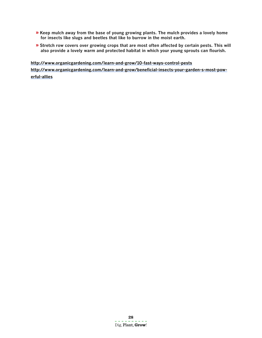- » **Keep mulch away from the base of young growing plants. The mulch provides a lovely home for insects like slugs and beetles that like to burrow in the moist earth.**
- » **Stretch row covers over growing crops that are most often affected by certain pests. This will also provide a lovely warm and protected habitat in which your young sprouts can flourish.**

**http://www.organicgardening.com/learn-and-grow/10-fast-ways-control-pests http://www.organicgardening.com/learn-and-grow/beneficial-insects-your-garden-s-most-powerful-allies**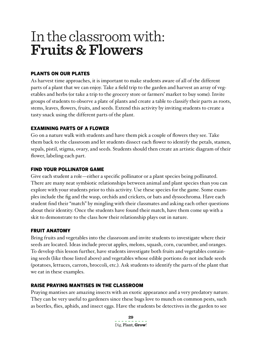# In the classroom with: **Fruits & Flowers**

#### Plants on our Plates

As harvest time approaches, it is important to make students aware of all of the different parts of a plant that we can enjoy. Take a field trip to the garden and harvest an array of vegetables and herbs (or take a trip to the grocery store or farmers' market to buy some). Invite groups of students to observe a plate of plants and create a table to classify their parts as roots, stems, leaves, flowers, fruits, and seeds. Extend this activity by inviting students to create a tasty snack using the different parts of the plant.

#### Examining Parts of a Flower

Go on a nature walk with students and have them pick a couple of flowers they see. Take them back to the classroom and let students dissect each flower to identify the petals, stamen, sepals, pistil, stigma, ovary, and seeds. Students should then create an artistic diagram of their flower, labeling each part.

#### Find your Pollinator Game

Give each student a role—either a specific pollinator or a plant species being pollinated. There are many neat symbiotic relationships between animal and plant species than you can explore with your students prior to this activity. Use these species for the game. Some examples include the fig and the wasp, orchids and crickets, or bats and dyssochroma. Have each student find their "match" by mingling with their classmates and asking each other questions about their identity. Once the students have found their match, have them come up with a skit to demonstrate to the class how their relationship plays out in nature.

#### Fruit Anatomy

Bring fruits and vegetables into the classroom and invite students to investigate where their seeds are located. Ideas include precut apples, melons, squash, corn, cucumber, and oranges. To develop this lesson further, have students investigate both fruits and vegetables containing seeds (like those listed above) and vegetables whose edible portions do not include seeds (potatoes, lettuces, carrots, broccoli, etc.). Ask students to identify the parts of the plant that we eat in these examples.

#### Raise Praying MantisES in the Classroom

Praying mantises are amazing insects with an exotic appearance and a very predatory nature. They can be very useful to gardeners since these bugs love to munch on common pests, such as beetles, flies, aphids, and insect eggs. Have the students be detectives in the garden to see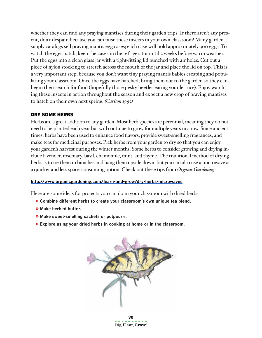whether they can find any praying mantises during their garden trips. If there aren't any present, don't despair, because you can raise these insects in your own classroom! Many gardensupply catalogs sell praying mantis egg cases; each case will hold approximately 300 eggs. To watch the eggs hatch, keep the cases in the refrigerator until 2 weeks before warm weather. Put the eggs into a clean glass jar with a tight-fitting lid punched with air holes. Cut out a piece of nylon stocking to stretch across the mouth of the jar and place the lid on top. This is a very important step, because you don't want tiny praying mantis babies escaping and populating your classroom! Once the eggs have hatched, bring them out to the garden so they can begin their search for food (hopefully those pesky beetles eating your lettuce). Enjoy watching these insects in action throughout the season and expect a new crop of praying mantises to hatch on their own next spring. *(Carlson 1995)* 

#### Dry Some Herbs

Herbs are a great addition to any garden. Most herb species are perennial, meaning they do not need to be planted each year but will continue to grow for multiple years in a row. Since ancient times, herbs have been used to enhance food flavors, provide sweet-smelling fragrances, and make teas for medicinal purposes. Pick herbs from your garden to dry so that you can enjoy your garden's harvest during the winter months. Some herbs to consider growing and drying include lavender, rosemary, basil, chamomile, mint, and thyme. The traditional method of drying herbs is to tie them in bunches and hang them upside down, but you can also use a microwave as a quicker and less space-consuming option. Check out these tips from *Organic Gardening*:

#### **http://www.organicgardening.com/learn-and-grow/dry-herbs-microwaves**

Here are some ideas for projects you can do in your classroom with dried herbs:

- » **Combine different herbs to create your classroom's own unique tea blend.**
- » **Make herbed butter.**
- » **Make sweet-smelling sachets or potpourri.**
- » **Explore using your dried herbs in cooking at home or in the classroom.**



**30** Dig, Plant, **Grow**!